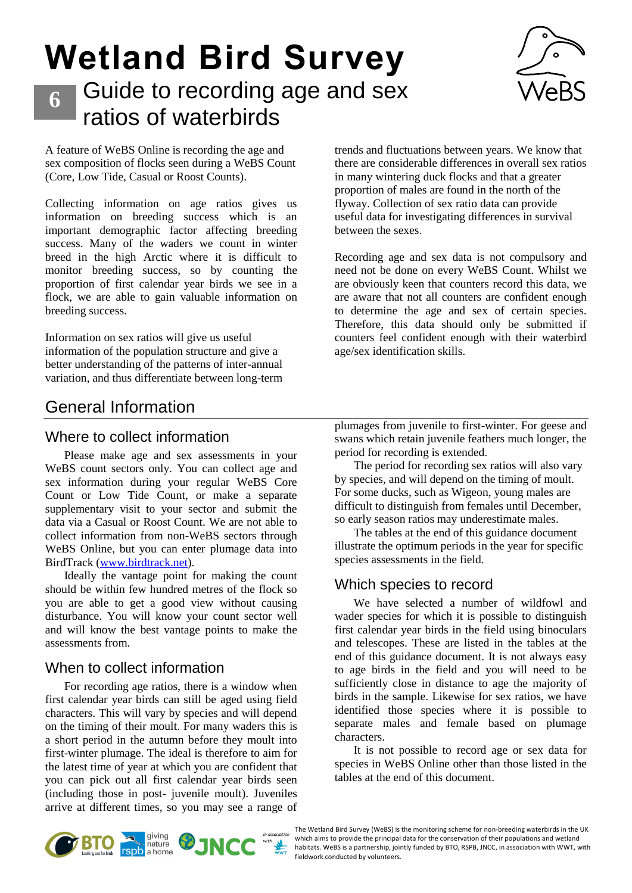# **Wetland Bird Survey** Guide to recording age and sex



A feature of WeBS Online is recording the age and sex composition of flocks seen during a WeBS Count (Core, Low Tide, Casual or Roost Counts).

**6**

ratios of waterbirds

Collecting information on age ratios gives us information on breeding success which is an important demographic factor affecting breeding success. Many of the waders we count in winter breed in the high Arctic where it is difficult to monitor breeding success, so by counting the proportion of first calendar year birds we see in a flock, we are able to gain valuable information on breeding success.

Information on sex ratios will give us useful information of the population structure and give a better understanding of the patterns of inter-annual variation, and thus differentiate between long-term trends and fluctuations between years. We know that there are considerable differences in overall sex ratios in many wintering duck flocks and that a greater proportion of males are found in the north of the flyway. Collection of sex ratio data can provide useful data for investigating differences in survival between the sexes.

Recording age and sex data is not compulsory and need not be done on every WeBS Count. Whilst we are obviously keen that counters record this data, we are aware that not all counters are confident enough to determine the age and sex of certain species. Therefore, this data should only be submitted if counters feel confident enough with their waterbird age/sex identification skills.

## General Information

#### Where to collect information

Please make age and sex assessments in your WeBS count sectors only. You can collect age and sex information during your regular WeBS Core Count or Low Tide Count, or make a separate supplementary visit to your sector and submit the data via a Casual or Roost Count. We are not able to collect information from non-WeBS sectors through WeBS Online, but you can enter plumage data into BirdTrack [\(www.birdtrack.net\)](file://///BTODOMAIN/FILES/GENERAL/WEBS/WeBS/Counter%20Handbook/AgeSex%20Guidance-%20Dec%202019/www.birdtrack.net).

Ideally the vantage point for making the count should be within few hundred metres of the flock so you are able to get a good view without causing disturbance. You will know your count sector well and will know the best vantage points to make the assessments from.

#### When to collect information

For recording age ratios, there is a window when first calendar year birds can still be aged using field characters. This will vary by species and will depend on the timing of their moult. For many waders this is a short period in the autumn before they moult into first-winter plumage. The ideal is therefore to aim for the latest time of year at which you are confident that you can pick out all first calendar year birds seen (including those in post- juvenile moult). Juveniles arrive at different times, so you may see a range of

plumages from juvenile to first-winter. For geese and swans which retain juvenile feathers much longer, the period for recording is extended.

The period for recording sex ratios will also vary by species, and will depend on the timing of moult. For some ducks, such as Wigeon, young males are difficult to distinguish from females until December, so early season ratios may underestimate males.

The tables at the end of this guidance document illustrate the optimum periods in the year for specific species assessments in the field.

### Which species to record

We have selected a number of wildfowl and wader species for which it is possible to distinguish first calendar year birds in the field using binoculars and telescopes. These are listed in the tables at the end of this guidance document. It is not always easy to age birds in the field and you will need to be sufficiently close in distance to age the majority of birds in the sample. Likewise for sex ratios, we have identified those species where it is possible to separate males and female based on plumage characters.

It is not possible to record age or sex data for species in WeBS Online other than those listed in the tables at the end of this document.



The Wetland Bird Survey (WeBS) is the monitoring scheme for non-breeding waterbirds in the UK which aims to provide the principal data for the conservation of their populations and wetland habitats. WeBS is a partnership, jointly funded by BTO, RSPB, JNCC, in association with WWT, with fieldwork conducted by volunteers.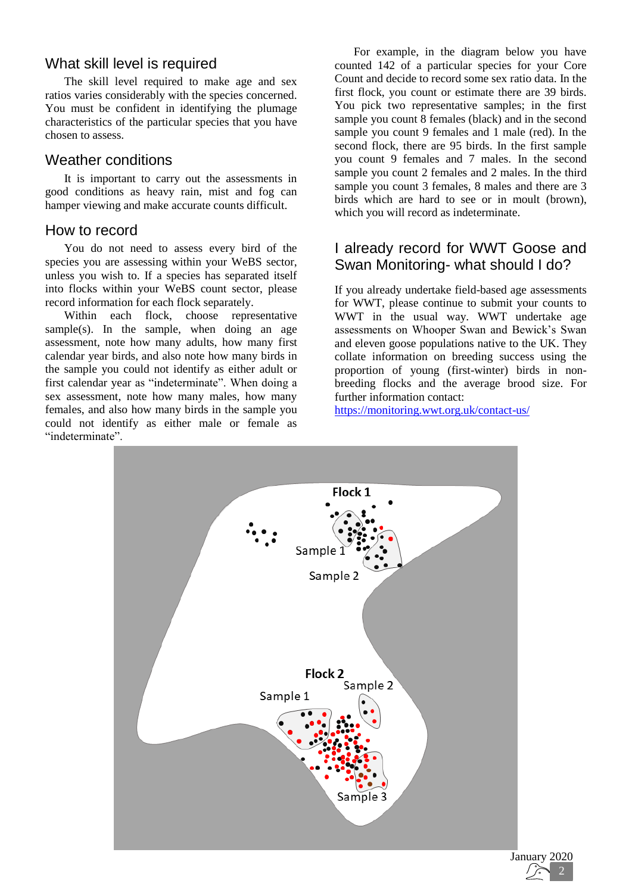#### What skill level is required

The skill level required to make age and sex ratios varies considerably with the species concerned. You must be confident in identifying the plumage characteristics of the particular species that you have chosen to assess.

#### Weather conditions

It is important to carry out the assessments in good conditions as heavy rain, mist and fog can hamper viewing and make accurate counts difficult.

#### How to record

You do not need to assess every bird of the species you are assessing within your WeBS sector, unless you wish to. If a species has separated itself into flocks within your WeBS count sector, please record information for each flock separately.

Within each flock, choose representative sample(s). In the sample, when doing an age assessment, note how many adults, how many first calendar year birds, and also note how many birds in the sample you could not identify as either adult or first calendar year as "indeterminate". When doing a sex assessment, note how many males, how many females, and also how many birds in the sample you could not identify as either male or female as "indeterminate".

For example, in the diagram below you have counted 142 of a particular species for your Core Count and decide to record some sex ratio data. In the first flock, you count or estimate there are 39 birds. You pick two representative samples; in the first sample you count 8 females (black) and in the second sample you count 9 females and 1 male (red). In the second flock, there are 95 birds. In the first sample you count 9 females and 7 males. In the second sample you count 2 females and 2 males. In the third sample you count 3 females, 8 males and there are 3 birds which are hard to see or in moult (brown), which you will record as indeterminate.

#### I already record for WWT Goose and Swan Monitoring- what should I do?

If you already undertake field-based age assessments for WWT, please continue to submit your counts to WWT in the usual way. WWT undertake age assessments on Whooper Swan and Bewick's Swan and eleven goose populations native to the UK. They collate information on breeding success using the proportion of young (first-winter) birds in nonbreeding flocks and the average brood size. For further information contact:

<https://monitoring.wwt.org.uk/contact-us/>



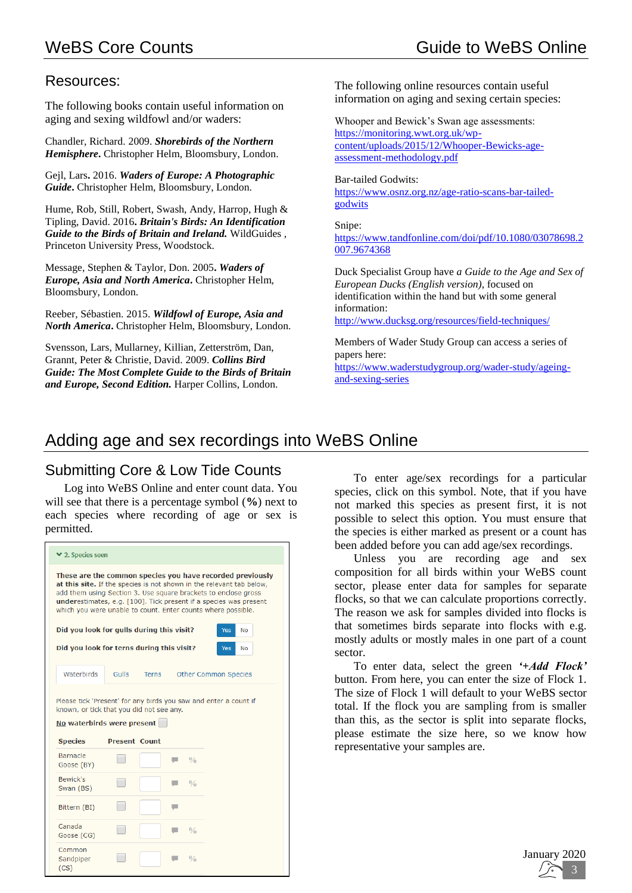#### Resources:

The following books contain useful information on aging and sexing wildfowl and/or waders:

Chandler, Richard. 2009. *Shorebirds of the Northern Hemisphere***.** Christopher Helm, Bloomsbury, London.

Gejl, Lars**.** 2016. *Waders of Europe: A Photographic Guide***.** Christopher Helm, Bloomsbury, London.

Hume, Rob, Still, Robert, Swash, Andy, Harrop, Hugh & Tipling, David. 2016**.** *Britain's Birds: An Identification Guide to the Birds of Britain and Ireland.* WildGuides , Princeton University Press, Woodstock.

Message, Stephen & Taylor, Don. 2005**.** *Waders of Europe, Asia and North America***.** Christopher Helm, Bloomsbury, London.

Reeber, Sébastien. 2015. *Wildfowl of Europe, Asia and North America***.** Christopher Helm, Bloomsbury, London.

Svensson, Lars, Mullarney, Killian, Zetterström, Dan, Grannt, Peter & Christie, David. 2009. *Collins Bird Guide: The Most Complete Guide to the Birds of Britain and Europe, Second Edition.* Harper Collins, London.

The following online resources contain useful information on aging and sexing certain species:

Whooper and Bewick's Swan age assessments: [https://monitoring.wwt.org.uk/wp](https://monitoring.wwt.org.uk/wp-content/uploads/2015/12/Whooper-Bewicks-age-assessment-methodology.pdf)[content/uploads/2015/12/Whooper-Bewicks-age](https://monitoring.wwt.org.uk/wp-content/uploads/2015/12/Whooper-Bewicks-age-assessment-methodology.pdf)[assessment-methodology.pdf](https://monitoring.wwt.org.uk/wp-content/uploads/2015/12/Whooper-Bewicks-age-assessment-methodology.pdf)

Bar-tailed Godwits:

[https://www.osnz.org.nz/age-ratio-scans-bar-tailed](https://www.osnz.org.nz/age-ratio-scans-bar-tailed-godwits)[godwits](https://www.osnz.org.nz/age-ratio-scans-bar-tailed-godwits)

Snipe:

[https://www.tandfonline.com/doi/pdf/10.1080/03078698.2](https://www.tandfonline.com/doi/pdf/10.1080/03078698.2007.9674368) [007.9674368](https://www.tandfonline.com/doi/pdf/10.1080/03078698.2007.9674368)

Duck Specialist Group have *a Guide to the Age and Sex of European Ducks (English version)*, focused on identification within the hand but with some general information:

<http://www.ducksg.org/resources/field-techniques/>

Members of Wader Study Group can access a series of papers here:

[https://www.waderstudygroup.org/wader-study/ageing](https://www.waderstudygroup.org/wader-study/ageing-and-sexing-series)[and-sexing-series](https://www.waderstudygroup.org/wader-study/ageing-and-sexing-series)

# Adding age and sex recordings into WeBS Online

### Submitting Core & Low Tide Counts

Log into WeBS Online and enter count data. You will see that there is a percentage symbol (**%**) next to each species where recording of age or sex is permitted.

|                                                                        |                      |       |               | These are the common species you have recorded previously<br>at this site. If the species is not shown in the relevant tab below,<br>add them using Section 3. Use square brackets to enclose gross<br>underestimates, e.g. [100]. Tick present if a species was present |  |
|------------------------------------------------------------------------|----------------------|-------|---------------|--------------------------------------------------------------------------------------------------------------------------------------------------------------------------------------------------------------------------------------------------------------------------|--|
|                                                                        |                      |       |               | which you were unable to count. Enter counts where possible.                                                                                                                                                                                                             |  |
| Did you look for gulls during this visit?                              |                      |       |               | Yes<br>No                                                                                                                                                                                                                                                                |  |
| Did you look for terns during this visit?                              |                      |       |               | <b>No</b><br>Yes                                                                                                                                                                                                                                                         |  |
| Waterbirds                                                             | <b>Gulls</b>         | Terns |               | Other Common Species                                                                                                                                                                                                                                                     |  |
|                                                                        |                      |       |               |                                                                                                                                                                                                                                                                          |  |
|                                                                        |                      |       |               |                                                                                                                                                                                                                                                                          |  |
|                                                                        |                      |       |               | Please tick 'Present' for any birds you saw and enter a count if                                                                                                                                                                                                         |  |
| known, or tick that you did not see any.<br>No waterbirds were present |                      |       |               |                                                                                                                                                                                                                                                                          |  |
| <b>Species</b>                                                         | <b>Present Count</b> |       |               |                                                                                                                                                                                                                                                                          |  |
| <b>Barnacle</b><br>Goose (BY)                                          |                      |       | 0/6           |                                                                                                                                                                                                                                                                          |  |
| Bewick's<br>Swan (BS)                                                  |                      |       | 0/6           |                                                                                                                                                                                                                                                                          |  |
| Bittern (BI)                                                           |                      |       |               |                                                                                                                                                                                                                                                                          |  |
| Canada<br>Goose (CG)                                                   |                      |       | $\frac{0}{0}$ |                                                                                                                                                                                                                                                                          |  |

To enter age/sex recordings for a particular species, click on this symbol. Note, that if you have not marked this species as present first, it is not possible to select this option. You must ensure that the species is either marked as present or a count has been added before you can add age/sex recordings.

Unless you are recording age and sex composition for all birds within your WeBS count sector, please enter data for samples for separate flocks, so that we can calculate proportions correctly. The reason we ask for samples divided into flocks is that sometimes birds separate into flocks with e.g. mostly adults or mostly males in one part of a count sector.

To enter data, select the green *'+Add Flock'* button. From here, you can enter the size of Flock 1. The size of Flock 1 will default to your WeBS sector total. If the flock you are sampling from is smaller than this, as the sector is split into separate flocks, please estimate the size here, so we know how representative your samples are.

> January 2020 1 3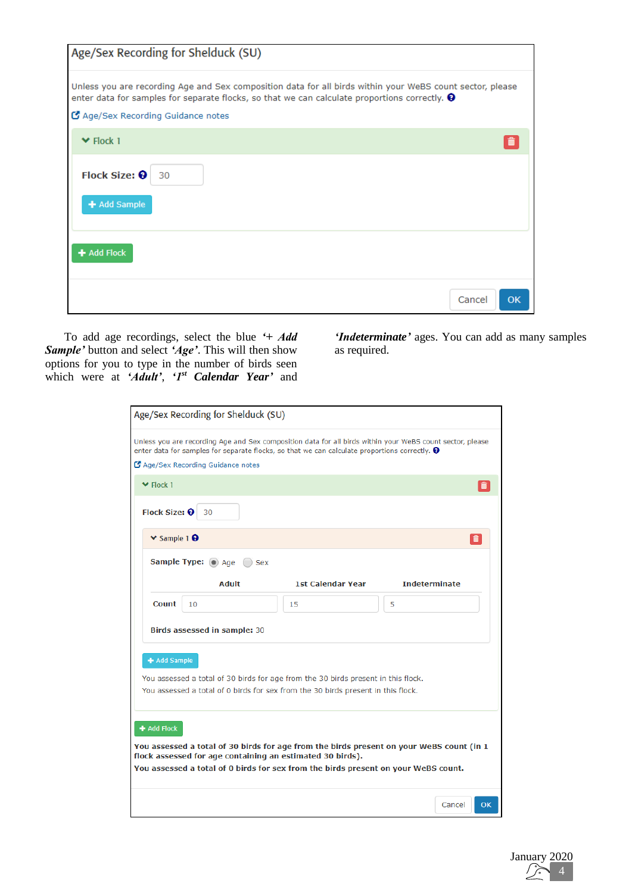| Age/Sex Recording for Shelduck (SU)                                                                                                                                                                                                                     |    |
|---------------------------------------------------------------------------------------------------------------------------------------------------------------------------------------------------------------------------------------------------------|----|
| Unless you are recording Age and Sex composition data for all birds within your WeBS count sector, please<br>enter data for samples for separate flocks, so that we can calculate proportions correctly. $\Theta$<br>C Age/Sex Recording Guidance notes |    |
| $\blacktriangleright$ Flock 1                                                                                                                                                                                                                           |    |
| Flock Size: 0<br>30<br>+ Add Sample                                                                                                                                                                                                                     |    |
| + Add Flock                                                                                                                                                                                                                                             |    |
| Cancel                                                                                                                                                                                                                                                  | OK |

To add age recordings, select the blue *'+ Add Sample'* button and select *'Age'*. This will then show options for you to type in the number of birds seen which were at *'Adult'*, *'1st Calendar Year'* and

*'Indeterminate'* ages. You can add as many samples as required.

| Age/Sex Recording for Shelduck (SU)                                                                                                                                                                               |                          |                      |
|-------------------------------------------------------------------------------------------------------------------------------------------------------------------------------------------------------------------|--------------------------|----------------------|
| Unless you are recording Age and Sex composition data for all birds within your WeBS count sector, please<br>enter data for samples for separate flocks, so that we can calculate proportions correctly. $\Theta$ |                          |                      |
| C Age/Sex Recording Guidance notes                                                                                                                                                                                |                          |                      |
| $\blacktriangleright$ Flock 1                                                                                                                                                                                     |                          | ô                    |
| Flock Size: 0<br>30                                                                                                                                                                                               |                          |                      |
| $\vee$ Sample 1 $\Theta$                                                                                                                                                                                          |                          |                      |
| Sample Type: 3 Age<br><b>Sex</b>                                                                                                                                                                                  |                          |                      |
| <b>Adult</b>                                                                                                                                                                                                      | <b>1st Calendar Year</b> | <b>Indeterminate</b> |
| Count<br>10                                                                                                                                                                                                       | 15                       | 5                    |
| <b>Birds assessed in sample: 30</b>                                                                                                                                                                               |                          |                      |
| + Add Sample                                                                                                                                                                                                      |                          |                      |
| You assessed a total of 30 birds for age from the 30 birds present in this flock.                                                                                                                                 |                          |                      |
| You assessed a total of 0 birds for sex from the 30 birds present in this flock.                                                                                                                                  |                          |                      |
|                                                                                                                                                                                                                   |                          |                      |
| + Add Flock                                                                                                                                                                                                       |                          |                      |
| You assessed a total of 30 birds for age from the birds present on your WeBS count (in 1<br>flock assessed for age containing an estimated 30 birds).                                                             |                          |                      |
| You assessed a total of 0 birds for sex from the birds present on your WeBS count.                                                                                                                                |                          |                      |
|                                                                                                                                                                                                                   |                          | Cancel<br><b>OK</b>  |

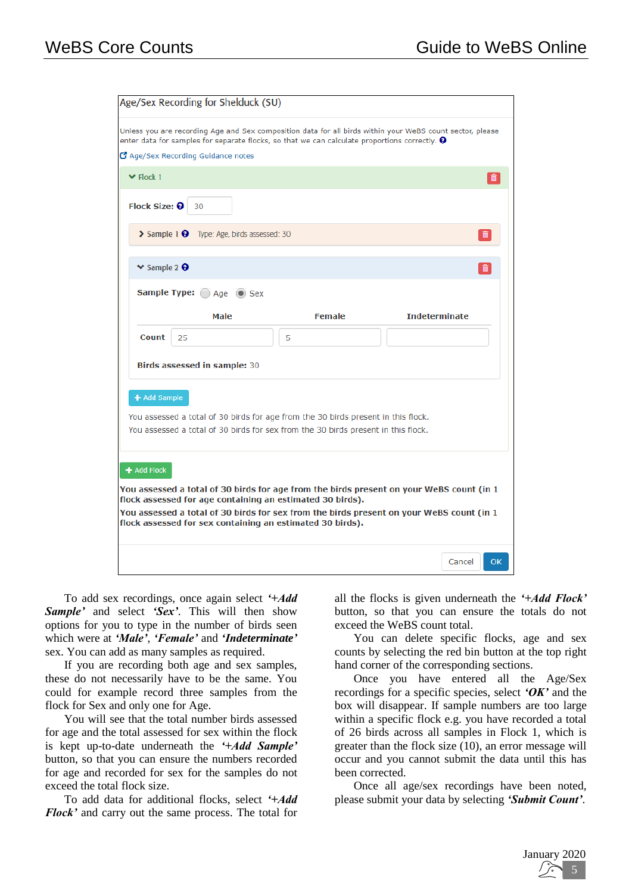| Age/Sex Recording for Shelduck (SU)                                                                                                                                                                                                                   |
|-------------------------------------------------------------------------------------------------------------------------------------------------------------------------------------------------------------------------------------------------------|
| Unless you are recording Age and Sex composition data for all birds within your WeBS count sector, please<br>enter data for samples for separate flocks, so that we can calculate proportions correctly. $\Theta$<br>Age/Sex Recording Guidance notes |
| $\blacktriangleright$ Flock 1                                                                                                                                                                                                                         |
| Flock Size: <sup>O</sup><br>30                                                                                                                                                                                                                        |
| > Sample 1 + Type: Age, birds assessed: 30                                                                                                                                                                                                            |
| $\vee$ Sample 2 $\Theta$<br>畵                                                                                                                                                                                                                         |
| Sample Type: Age O Sex                                                                                                                                                                                                                                |
| <b>Indeterminate</b><br><b>Male</b><br><b>Female</b>                                                                                                                                                                                                  |
| <b>Count</b><br>25<br>5                                                                                                                                                                                                                               |
| Birds assessed in sample: 30                                                                                                                                                                                                                          |
| + Add Sample                                                                                                                                                                                                                                          |
| You assessed a total of 30 birds for age from the 30 birds present in this flock.                                                                                                                                                                     |
| You assessed a total of 30 birds for sex from the 30 birds present in this flock.                                                                                                                                                                     |
|                                                                                                                                                                                                                                                       |
| + Add Flock                                                                                                                                                                                                                                           |
| You assessed a total of 30 birds for age from the birds present on your WeBS count (in 1<br>flock assessed for age containing an estimated 30 birds).                                                                                                 |
| You assessed a total of 30 birds for sex from the birds present on your WeBS count (in 1                                                                                                                                                              |
| flock assessed for sex containing an estimated 30 birds).                                                                                                                                                                                             |
| Cancel<br>OK                                                                                                                                                                                                                                          |

To add sex recordings, once again select *'+Add Sample'* and select *'Sex'*. This will then show options for you to type in the number of birds seen which were at *'Male'*, *'Female'* and *'Indeterminate'* sex. You can add as many samples as required.

If you are recording both age and sex samples, these do not necessarily have to be the same. You could for example record three samples from the flock for Sex and only one for Age.

You will see that the total number birds assessed for age and the total assessed for sex within the flock is kept up-to-date underneath the *'+Add Sample'* button, so that you can ensure the numbers recorded for age and recorded for sex for the samples do not exceed the total flock size.

To add data for additional flocks, select *'+Add Flock'* and carry out the same process. The total for

all the flocks is given underneath the *'+Add Flock'* button, so that you can ensure the totals do not exceed the WeBS count total.

You can delete specific flocks, age and sex counts by selecting the red bin button at the top right hand corner of the corresponding sections.

Once you have entered all the Age/Sex recordings for a specific species, select *'OK'* and the box will disappear. If sample numbers are too large within a specific flock e.g. you have recorded a total of 26 birds across all samples in Flock 1, which is greater than the flock size (10), an error message will occur and you cannot submit the data until this has been corrected.

Once all age/sex recordings have been noted, please submit your data by selecting *'Submit Count'*.

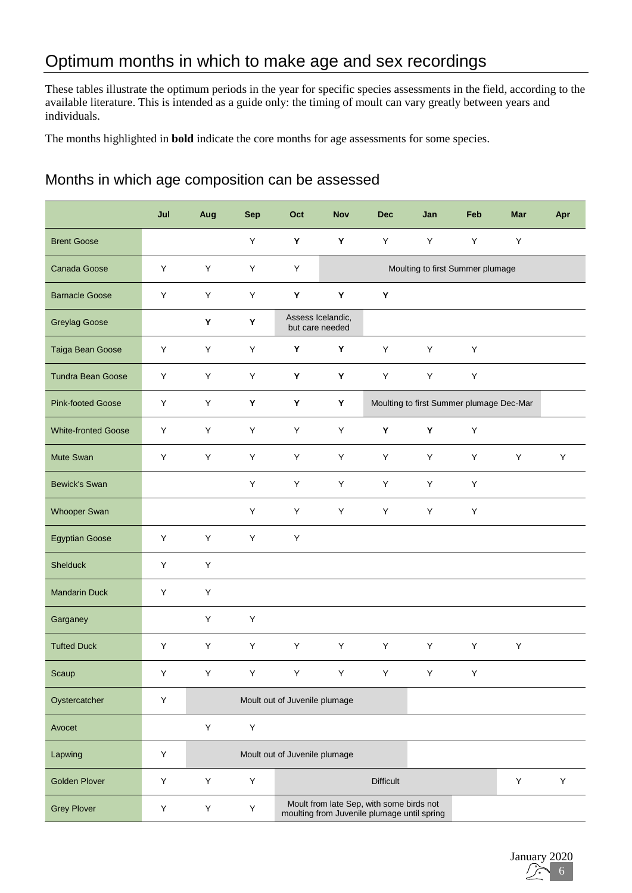# Optimum months in which to make age and sex recordings

These tables illustrate the optimum periods in the year for specific species assessments in the field, according to the available literature. This is intended as a guide only: the timing of moult can vary greatly between years and individuals.

The months highlighted in **bold** indicate the core months for age assessments for some species.

#### Months in which age composition can be assessed

|                            | Jul     | Aug | <b>Sep</b> | Oct                           | <b>Nov</b>                           | <b>Dec</b>                                                                              | Jan                              | Feb                                      | <b>Mar</b> | Apr |
|----------------------------|---------|-----|------------|-------------------------------|--------------------------------------|-----------------------------------------------------------------------------------------|----------------------------------|------------------------------------------|------------|-----|
| <b>Brent Goose</b>         |         |     | Y          | Y                             | Υ                                    | Y                                                                                       | Y                                | Y                                        | Υ          |     |
| Canada Goose               | Υ       | Y   | Υ          | Υ                             |                                      |                                                                                         | Moulting to first Summer plumage |                                          |            |     |
| <b>Barnacle Goose</b>      | Υ       | Y   | Y          | Y                             | Υ                                    | Y                                                                                       |                                  |                                          |            |     |
| <b>Greylag Goose</b>       |         | Υ   | Y          |                               | Assess Icelandic,<br>but care needed |                                                                                         |                                  |                                          |            |     |
| Taiga Bean Goose           | Υ       | Υ   | Υ          | Υ                             | Υ                                    | Y                                                                                       | Y                                | Y                                        |            |     |
| <b>Tundra Bean Goose</b>   | Υ       | Y   | Υ          | Y                             | Y                                    | Υ                                                                                       | Υ                                | $\sf Y$                                  |            |     |
| <b>Pink-footed Goose</b>   | Υ       | Y   | Υ          | Y                             | Υ                                    |                                                                                         |                                  | Moulting to first Summer plumage Dec-Mar |            |     |
| <b>White-fronted Goose</b> | Υ       | Υ   | Υ          | Υ                             | Υ                                    | Y                                                                                       | Y                                | Υ                                        |            |     |
| Mute Swan                  | Υ       | Y   | Y          | Y                             | Y                                    | Y                                                                                       | Y                                | Y                                        | Y          | Y   |
| <b>Bewick's Swan</b>       |         |     | Y          | Υ                             | Y                                    | Y                                                                                       | Y                                | Y                                        |            |     |
| <b>Whooper Swan</b>        |         |     | Y          | Y                             | Υ                                    | Y                                                                                       | Υ                                | Υ                                        |            |     |
| <b>Egyptian Goose</b>      | Υ       | Υ   | Υ          | Υ                             |                                      |                                                                                         |                                  |                                          |            |     |
| <b>Shelduck</b>            | Υ       | Y   |            |                               |                                      |                                                                                         |                                  |                                          |            |     |
| <b>Mandarin Duck</b>       | Υ       | Y   |            |                               |                                      |                                                                                         |                                  |                                          |            |     |
| Garganey                   |         | Y   | Υ          |                               |                                      |                                                                                         |                                  |                                          |            |     |
| <b>Tufted Duck</b>         | Υ       | Y   | Υ          | Υ                             | Y                                    | Y                                                                                       | Υ                                | Y                                        | Y          |     |
| Scaup                      | Y       | Y   | Y.         | Y                             | Y                                    | Y                                                                                       | Y.                               | Y                                        |            |     |
| Oystercatcher              | Υ       |     |            | Moult out of Juvenile plumage |                                      |                                                                                         |                                  |                                          |            |     |
| Avocet                     |         | Y   | Y          |                               |                                      |                                                                                         |                                  |                                          |            |     |
| Lapwing                    | Υ       |     |            | Moult out of Juvenile plumage |                                      |                                                                                         |                                  |                                          |            |     |
| <b>Golden Plover</b>       | Υ       | Y   | Y          |                               |                                      | <b>Difficult</b>                                                                        |                                  |                                          | Υ          | Υ   |
| <b>Grey Plover</b>         | $\sf Y$ | Y   | Υ          |                               |                                      | Moult from late Sep, with some birds not<br>moulting from Juvenile plumage until spring |                                  |                                          |            |     |

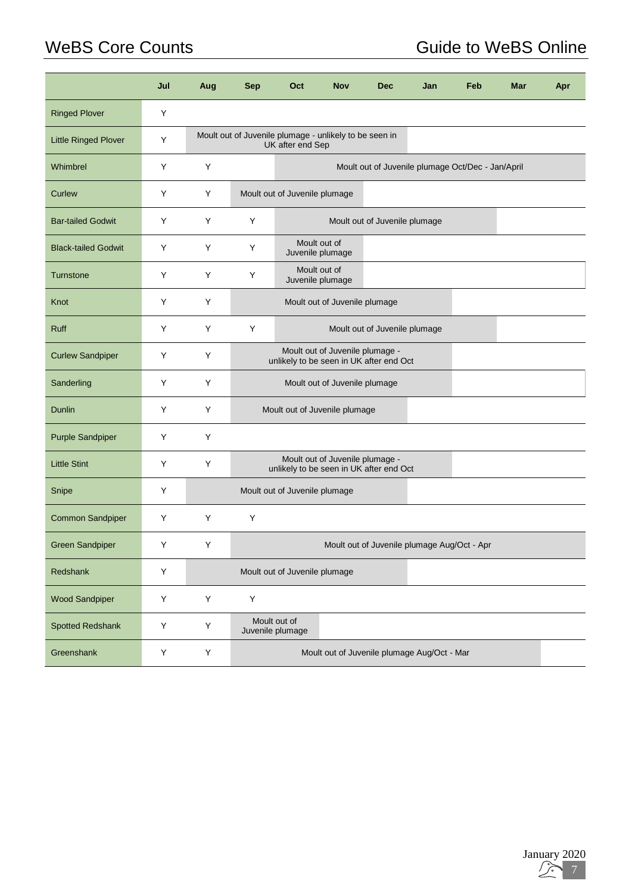# WeBS Core Counts **Guide to WeBS Online**

|                             | Jul | Aug | <b>Sep</b> | Oct                                                                        | <b>Nov</b>                                  | <b>Dec</b>                                  | Jan | Feb | Mar | Apr |  |
|-----------------------------|-----|-----|------------|----------------------------------------------------------------------------|---------------------------------------------|---------------------------------------------|-----|-----|-----|-----|--|
| <b>Ringed Plover</b>        | Υ   |     |            |                                                                            |                                             |                                             |     |     |     |     |  |
| <b>Little Ringed Plover</b> | Y   |     |            | Moult out of Juvenile plumage - unlikely to be seen in<br>UK after end Sep |                                             |                                             |     |     |     |     |  |
| Whimbrel                    | Υ   | Y   |            | Moult out of Juvenile plumage Oct/Dec - Jan/April                          |                                             |                                             |     |     |     |     |  |
| Curlew                      | Υ   | Y   |            | Moult out of Juvenile plumage                                              |                                             |                                             |     |     |     |     |  |
| <b>Bar-tailed Godwit</b>    | Y   | Y   | Y          |                                                                            |                                             | Moult out of Juvenile plumage               |     |     |     |     |  |
| <b>Black-tailed Godwit</b>  | Y   | Y   | Y          |                                                                            | Moult out of<br>Juvenile plumage            |                                             |     |     |     |     |  |
| <b>Turnstone</b>            | Y   | Y   | Y          |                                                                            | Moult out of<br>Juvenile plumage            |                                             |     |     |     |     |  |
| Knot                        | Y   | Y   |            |                                                                            | Moult out of Juvenile plumage               |                                             |     |     |     |     |  |
| <b>Ruff</b>                 | Y   | Y   | Y          |                                                                            |                                             | Moult out of Juvenile plumage               |     |     |     |     |  |
| <b>Curlew Sandpiper</b>     | Υ   | Y   |            | unlikely to be seen in UK after end Oct                                    | Moult out of Juvenile plumage -             |                                             |     |     |     |     |  |
| Sanderling                  | Υ   | Y   |            | Moult out of Juvenile plumage                                              |                                             |                                             |     |     |     |     |  |
| Dunlin                      | Y   | Y   |            | Moult out of Juvenile plumage                                              |                                             |                                             |     |     |     |     |  |
| <b>Purple Sandpiper</b>     | Y   | Y   |            |                                                                            |                                             |                                             |     |     |     |     |  |
| <b>Little Stint</b>         | Y   | Y   |            | unlikely to be seen in UK after end Oct                                    | Moult out of Juvenile plumage -             |                                             |     |     |     |     |  |
| Snipe                       | Υ   |     |            | Moult out of Juvenile plumage                                              |                                             |                                             |     |     |     |     |  |
| Common Sandpiper            | Y   | Y   | Υ          |                                                                            |                                             |                                             |     |     |     |     |  |
| <b>Green Sandpiper</b>      | Y   | Y   |            |                                                                            |                                             | Moult out of Juvenile plumage Aug/Oct - Apr |     |     |     |     |  |
| Redshank                    | Υ   |     |            | Moult out of Juvenile plumage                                              |                                             |                                             |     |     |     |     |  |
| <b>Wood Sandpiper</b>       | Υ   | Y   | Υ          |                                                                            |                                             |                                             |     |     |     |     |  |
| <b>Spotted Redshank</b>     | Υ   | Y   |            | Moult out of<br>Juvenile plumage                                           |                                             |                                             |     |     |     |     |  |
| Greenshank                  | Υ   | Y   |            |                                                                            | Moult out of Juvenile plumage Aug/Oct - Mar |                                             |     |     |     |     |  |